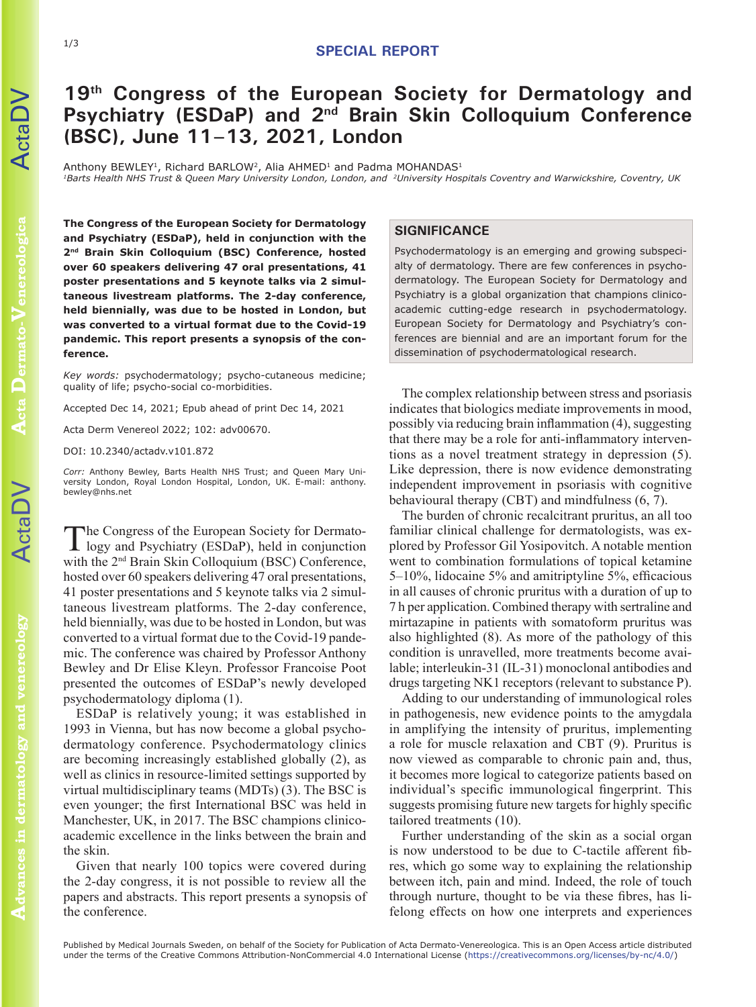## **19th Congress of the European Society for Dermatology and Psychiatry (ESDaP) and 2nd Brain Skin Colloquium Conference (BSC), June 11–13, 2021, London**

Anthony BEWLEY<sup>1</sup>, Richard BARLOW<sup>2</sup>, Alia AHMED<sup>1</sup> and Padma MOHANDAS<sup>1</sup>

*1Barts Health NHS Trust & Queen Mary University London, London, and 2University Hospitals Coventry and Warwickshire, Coventry, UK*

**The Congress of the European Society for Dermatology and Psychiatry (ESDaP), held in conjunction with the 2nd Brain Skin Colloquium (BSC) Conference, hosted over 60 speakers delivering 47 oral presentations, 41 poster presentations and 5 keynote talks via 2 simultaneous livestream platforms. The 2-day conference, held biennially, was due to be hosted in London, but was converted to a virtual format due to the Covid-19 pandemic. This report presents a synopsis of the conference.**

*Key words:* psychodermatology; psycho-cutaneous medicine; quality of life; psycho-social co-morbidities.

Accepted Dec 14, 2021; Epub ahead of print Dec 14, 2021

Acta Derm Venereol 2022; 102: adv00670.

DOI: 10.2340/actadv.v101.872

*Corr:* Anthony Bewley, Barts Health NHS Trust; and Queen Mary University London, Royal London Hospital, London, UK. E-mail: anthony. bewley@nhs.net

The Congress of the European Society for Dermato-<br>logy and Psychiatry (ESDaP), held in conjunction with the 2nd Brain Skin Colloquium (BSC) Conference, hosted over 60 speakers delivering 47 oral presentations, 41 poster presentations and 5 keynote talks via 2 simultaneous livestream platforms. The 2-day conference, held biennially, was due to be hosted in London, but was converted to a virtual format due to the Covid-19 pandemic. The conference was chaired by Professor Anthony Bewley and Dr Elise Kleyn. Professor Francoise Poot presented the outcomes of ESDaP's newly developed psychodermatology diploma (1).

ESDaP is relatively young; it was established in 1993 in Vienna, but has now become a global psychodermatology conference. Psychodermatology clinics are becoming increasingly established globally (2), as well as clinics in resource-limited settings supported by virtual multidisciplinary teams (MDTs) (3). The BSC is even younger; the first International BSC was held in Manchester, UK, in 2017. The BSC champions clinicoacademic excellence in the links between the brain and the skin.

Given that nearly 100 topics were covered during the 2-day congress, it is not possible to review all the papers and abstracts. This report presents a synopsis of the conference.

## **SIGNIFICANCE**

Psychodermatology is an emerging and growing subspecialty of dermatology. There are few conferences in psychodermatology. The European Society for Dermatology and Psychiatry is a global organization that champions clinicoacademic cutting-edge research in psychodermatology. European Society for Dermatology and Psychiatry's conferences are biennial and are an important forum for the dissemination of psychodermatological research.

The complex relationship between stress and psoriasis indicates that biologics mediate improvements in mood, possibly via reducing brain inflammation (4), suggesting that there may be a role for anti-inflammatory interventions as a novel treatment strategy in depression (5). Like depression, there is now evidence demonstrating independent improvement in psoriasis with cognitive behavioural therapy (CBT) and mindfulness (6, 7).

The burden of chronic recalcitrant pruritus, an all too familiar clinical challenge for dermatologists, was explored by Professor Gil Yosipovitch. A notable mention went to combination formulations of topical ketamine 5–10%, lidocaine 5% and amitriptyline 5%, efficacious in all causes of chronic pruritus with a duration of up to 7 h per application. Combined therapy with sertraline and mirtazapine in patients with somatoform pruritus was also highlighted (8). As more of the pathology of this condition is unravelled, more treatments become available; interleukin-31 (IL-31) monoclonal antibodies and drugs targeting NK1 receptors (relevant to substance P).

Adding to our understanding of immunological roles in pathogenesis, new evidence points to the amygdala in amplifying the intensity of pruritus, implementing a role for muscle relaxation and CBT (9). Pruritus is now viewed as comparable to chronic pain and, thus, it becomes more logical to categorize patients based on individual's specific immunological fingerprint. This suggests promising future new targets for highly specific tailored treatments (10).

Further understanding of the skin as a social organ is now understood to be due to C-tactile afferent fibres, which go some way to explaining the relationship between itch, pain and mind. Indeed, the role of touch through nurture, thought to be via these fibres, has lifelong effects on how one interprets and experiences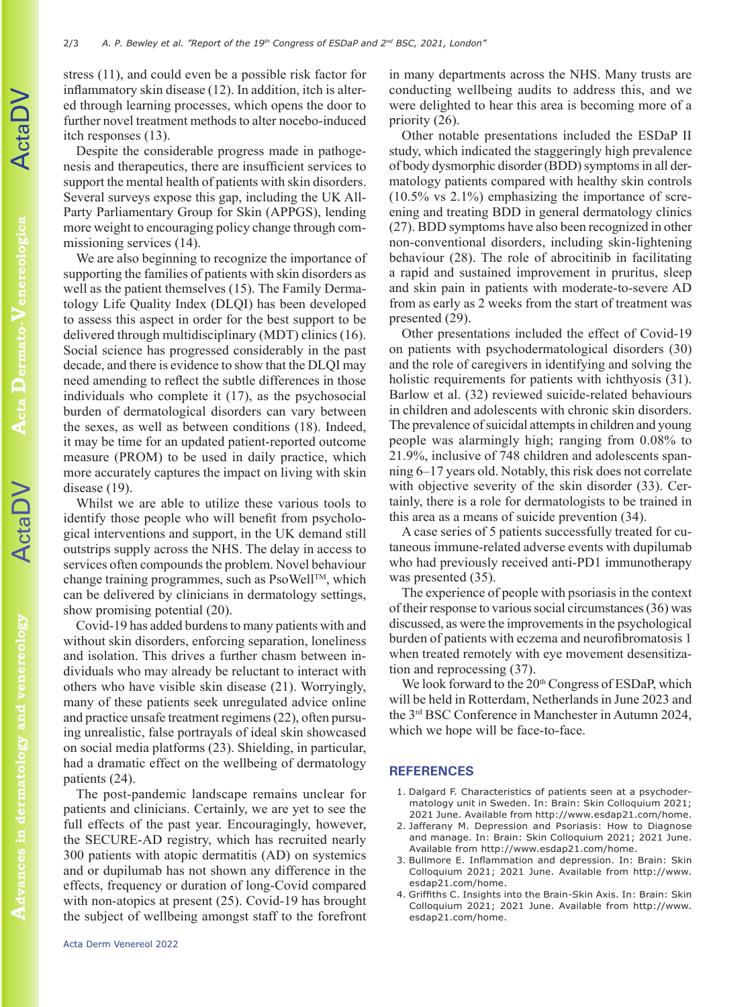stress (11), and could even be a possible risk factor for inflammatory skin disease (12). In addition, itch is altered through learning processes, which opens the door to further novel treatment methods to alter nocebo-induced itch responses (13).

Despite the considerable progress made in pathogenesis and therapeutics, there are insufficient services to support the mental health of patients with skin disorders. Several surveys expose this gap, including the UK All-Party Parliamentary Group for Skin (APPGS), lending more weight to encouraging policy change through commissioning services (14).

We are also beginning to recognize the importance of supporting the families of patients with skin disorders as well as the patient themselves (15). The Family Dermatology Life Quality Index (DLQI) has been developed to assess this aspect in order for the best support to be delivered through multidisciplinary (MDT) clinics (16). Social science has progressed considerably in the past decade, and there is evidence to show that the DLQI may need amending to reflect the subtle differences in those individuals who complete it (17), as the psychosocial burden of dermatological disorders can vary between the sexes, as well as between conditions (18). Indeed, it may be time for an updated patient-reported outcome measure (PROM) to be used in daily practice, which more accurately captures the impact on living with skin disease (19).

Whilst we are able to utilize these various tools to identify those people who will benefit from psychological interventions and support, in the UK demand still outstrips supply across the NHS. The delay in access to services often compounds the problem. Novel behaviour change training programmes, such as  $PsoWell^{TM}$ , which can be delivered by clinicians in dermatology settings, show promising potential (20).

Covid-19 has added burdens to many patients with and without skin disorders, enforcing separation, loneliness and isolation. This drives a further chasm between individuals who may already be reluctant to interact with others who have visible skin disease (21). Worryingly, many of these patients seek unregulated advice online and practice unsafe treatment regimens (22), often pursuing unrealistic, false portrayals of ideal skin showcased on social media platforms (23). Shielding, in particular, had a dramatic effect on the wellbeing of dermatology patients (24).

The post-pandemic landscape remains unclear for patients and clinicians. Certainly, we are yet to see the full effects of the past year. Encouragingly, however, the SECURE-AD registry, which has recruited nearly 300 patients with atopic dermatitis (AD) on systemics and or dupilumab has not shown any difference in the effects, frequency or duration of long-Covid compared with non-atopics at present (25). Covid-19 has brought the subject of wellbeing amongst staff to the forefront

in many departments across the NHS. Many trusts are conducting wellbeing audits to address this, and we were delighted to hear this area is becoming more of a priority (26).

Other notable presentations included the ESDaP II study, which indicated the staggeringly high prevalence of body dysmorphic disorder (BDD) symptoms in all dermatology patients compared with healthy skin controls (10.5% vs 2.1%) emphasizing the importance of screening and treating BDD in general dermatology clinics (27). BDD symptoms have also been recognized in other non-conventional disorders, including skin-lightening behaviour (28). The role of abrocitinib in facilitating a rapid and sustained improvement in pruritus, sleep and skin pain in patients with moderate-to-severe AD from as early as 2 weeks from the start of treatment was presented (29).

Other presentations included the effect of Covid-19 on patients with psychodermatological disorders (30) and the role of caregivers in identifying and solving the holistic requirements for patients with ichthyosis (31). Barlow et al. (32) reviewed suicide-related behaviours in children and adolescents with chronic skin disorders. The prevalence of suicidal attempts in children and young people was alarmingly high; ranging from 0.08% to 21.9%, inclusive of 748 children and adolescents spanning 6–17 years old. Notably, this risk does not correlate with objective severity of the skin disorder (33). Certainly, there is a role for dermatologists to be trained in this area as a means of suicide prevention (34).

A case series of 5 patients successfully treated for cutaneous immune-related adverse events with dupilumab who had previously received anti-PD1 immunotherapy was presented (35).

The experience of people with psoriasis in the context of their response to various social circumstances (36) was discussed, as were the improvements in the psychological burden of patients with eczema and neurofibromatosis 1 when treated remotely with eye movement desensitization and reprocessing (37).

We look forward to the 20<sup>th</sup> Congress of ESDaP, which will be held in Rotterdam, Netherlands in June 2023 and the 3rd BSC Conference in Manchester in Autumn 2024, which we hope will be face-to-face.

## **REFERENCES**

- 1. Dalgard F. Characteristics of patients seen at a psychodermatology unit in Sweden. In: Brain: Skin Colloquium 2021; 2021 June. Available from http://www.esdap21.com/home.
- 2. Jafferany M. Depression and Psoriasis: How to Diagnose and manage. In: Brain: Skin Colloquium 2021; 2021 June. Available from http://www.esdap21.com/home.
- 3. Bullmore E. Inflammation and depression. In: Brain: Skin Colloquium 2021; 2021 June. Available from http://www. esdap21.com/home.
- 4. Griffiths C. Insights into the Brain-Skin Axis. In: Brain: Skin Colloquium 2021; 2021 June. Available from http://www. esdap21.com/home.